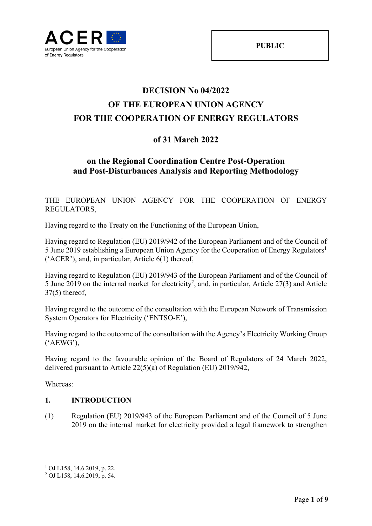

# **DECISION No 04/2022 OF THE EUROPEAN UNION AGENCY FOR THE COOPERATION OF ENERGY REGULATORS**

# **of 31 March 2022**

## **on the Regional Coordination Centre Post-Operation and Post-Disturbances Analysis and Reporting Methodology**

THE EUROPEAN UNION AGENCY FOR THE COOPERATION OF ENERGY REGULATORS,

Having regard to the Treaty on the Functioning of the European Union,

Having regard to Regulation (EU) 2019/942 of the European Parliament and of the Council of 5 June 2019 establishing a European Union Agency for the Cooperation of Energy Regulators<sup>1</sup> ('ACER'), and, in particular, Article 6(1) thereof,

Having regard to Regulation (EU) 2019/943 of the European Parliament and of the Council of 5 June 2019 on the internal market for electricity<sup>2</sup>, and, in particular, Article 27(3) and Article 37(5) thereof,

Having regard to the outcome of the consultation with the European Network of Transmission System Operators for Electricity ('ENTSO-E'),

Having regard to the outcome of the consultation with the Agency's Electricity Working Group ('AEWG'),

Having regard to the favourable opinion of the Board of Regulators of 24 March 2022, delivered pursuant to Article 22(5)(a) of Regulation (EU) 2019/942,

Whereas:

1

#### **1. INTRODUCTION**

(1) Regulation (EU) 2019/943 of the European Parliament and of the Council of 5 June 2019 on the internal market for electricity provided a legal framework to strengthen

<sup>1</sup> OJ L158, 14.6.2019, p. 22.

<sup>2</sup> OJ L158, 14.6.2019, p. 54.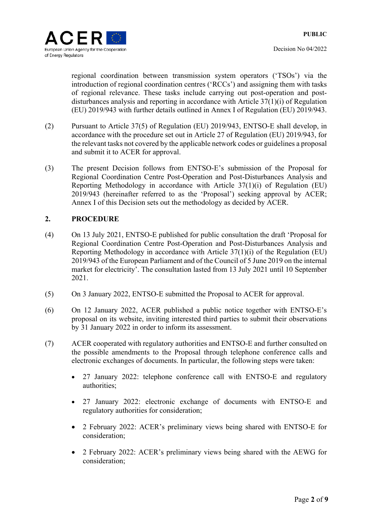regional coordination between transmission system operators ('TSOs') via the introduction of regional coordination centres ('RCCs') and assigning them with tasks of regional relevance. These tasks include carrying out post-operation and postdisturbances analysis and reporting in accordance with Article 37(1)(i) of Regulation (EU) 2019/943 with further details outlined in Annex I of Regulation (EU) 2019/943.

- (2) Pursuant to Article 37(5) of Regulation (EU) 2019/943, ENTSO-E shall develop, in accordance with the procedure set out in Article 27 of Regulation (EU) 2019/943, for the relevant tasks not covered by the applicable network codes or guidelines a proposal and submit it to ACER for approval.
- (3) The present Decision follows from ENTSO-E's submission of the Proposal for Regional Coordination Centre Post-Operation and Post-Disturbances Analysis and Reporting Methodology in accordance with Article 37(1)(i) of Regulation (EU) 2019/943 (hereinafter referred to as the 'Proposal') seeking approval by ACER; Annex I of this Decision sets out the methodology as decided by ACER.

### **2. PROCEDURE**

- (4) On 13 July 2021, ENTSO-E published for public consultation the draft 'Proposal for Regional Coordination Centre Post-Operation and Post-Disturbances Analysis and Reporting Methodology in accordance with Article 37(1)(i) of the Regulation (EU) 2019/943 of the European Parliament and of the Council of 5 June 2019 on the internal market for electricity'. The consultation lasted from 13 July 2021 until 10 September 2021.
- (5) On 3 January 2022, ENTSO-E submitted the Proposal to ACER for approval.
- (6) On 12 January 2022, ACER published a public notice together with ENTSO-E's proposal on its website, inviting interested third parties to submit their observations by 31 January 2022 in order to inform its assessment.
- (7) ACER cooperated with regulatory authorities and ENTSO-E and further consulted on the possible amendments to the Proposal through telephone conference calls and electronic exchanges of documents. In particular, the following steps were taken:
	- 27 January 2022: telephone conference call with ENTSO-E and regulatory authorities;
	- 27 January 2022: electronic exchange of documents with ENTSO-E and regulatory authorities for consideration;
	- 2 February 2022: ACER's preliminary views being shared with ENTSO-E for consideration;
	- 2 February 2022: ACER's preliminary views being shared with the AEWG for consideration;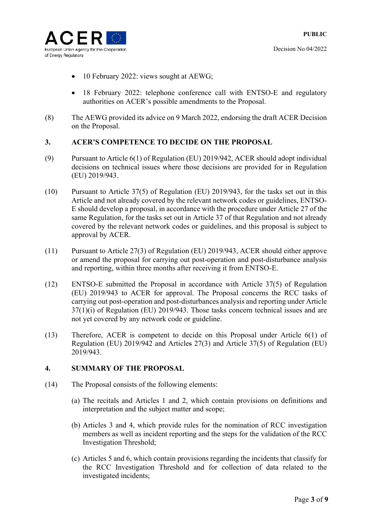- 10 February 2022: views sought at AEWG;
- 18 February 2022: telephone conference call with ENTSO-E and regulatory authorities on ACER's possible amendments to the Proposal.
- (8) The AEWG provided its advice on 9 March 2022, endorsing the draft ACER Decision on the Proposal.

#### **3. ACER'S COMPETENCE TO DECIDE ON THE PROPOSAL**

- (9) Pursuant to Article 6(1) of Regulation (EU) 2019/942, ACER should adopt individual decisions on technical issues where those decisions are provided for in Regulation (EU) 2019/943.
- (10) Pursuant to Article 37(5) of Regulation (EU) 2019/943, for the tasks set out in this Article and not already covered by the relevant network codes or guidelines, ENTSO-E should develop a proposal, in accordance with the procedure under Article 27 of the same Regulation, for the tasks set out in Article 37 of that Regulation and not already covered by the relevant network codes or guidelines, and this proposal is subject to approval by ACER.
- (11) Pursuant to Article 27(3) of Regulation (EU) 2019/943, ACER should either approve or amend the proposal for carrying out post-operation and post-disturbance analysis and reporting, within three months after receiving it from ENTSO-E.
- (12) ENTSO-E submitted the Proposal in accordance with Article 37(5) of Regulation (EU) 2019/943 to ACER for approval. The Proposal concerns the RCC tasks of carrying out post-operation and post-disturbances analysis and reporting under Article 37(1)(i) of Regulation (EU) 2019/943. Those tasks concern technical issues and are not yet covered by any network code or guideline.
- (13) Therefore, ACER is competent to decide on this Proposal under Article 6(1) of Regulation (EU) 2019/942 and Articles 27(3) and Article 37(5) of Regulation (EU) 2019/943.

### **4. SUMMARY OF THE PROPOSAL**

- (14) The Proposal consists of the following elements:
	- (a) The recitals and Articles 1 and 2, which contain provisions on definitions and interpretation and the subject matter and scope;
	- (b) Articles 3 and 4, which provide rules for the nomination of RCC investigation members as well as incident reporting and the steps for the validation of the RCC Investigation Threshold;
	- (c) Articles 5 and 6, which contain provisions regarding the incidents that classify for the RCC Investigation Threshold and for collection of data related to the investigated incidents;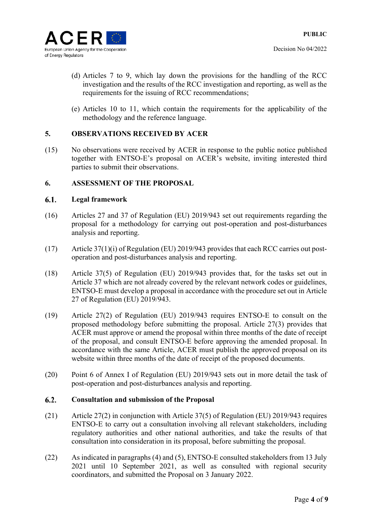

- (d) Articles 7 to 9, which lay down the provisions for the handling of the RCC investigation and the results of the RCC investigation and reporting, as well as the requirements for the issuing of RCC recommendations;
- (e) Articles 10 to 11, which contain the requirements for the applicability of the methodology and the reference language.

### **5. OBSERVATIONS RECEIVED BY ACER**

(15) No observations were received by ACER in response to the public notice published together with ENTSO-E's proposal on ACER's website, inviting interested third parties to submit their observations.

#### **6. ASSESSMENT OF THE PROPOSAL**

#### 6.1. **Legal framework**

- (16) Articles 27 and 37 of Regulation (EU) 2019/943 set out requirements regarding the proposal for a methodology for carrying out post-operation and post-disturbances analysis and reporting.
- (17) Article 37(1)(i) of Regulation (EU) 2019/943 provides that each RCC carries out postoperation and post-disturbances analysis and reporting.
- (18) Article 37(5) of Regulation (EU) 2019/943 provides that, for the tasks set out in Article 37 which are not already covered by the relevant network codes or guidelines, ENTSO-E must develop a proposal in accordance with the procedure set out in Article 27 of Regulation (EU) 2019/943.
- (19) Article 27(2) of Regulation (EU) 2019/943 requires ENTSO-E to consult on the proposed methodology before submitting the proposal. Article 27(3) provides that ACER must approve or amend the proposal within three months of the date of receipt of the proposal, and consult ENTSO-E before approving the amended proposal. In accordance with the same Article, ACER must publish the approved proposal on its website within three months of the date of receipt of the proposed documents.
- (20) Point 6 of Annex I of Regulation (EU) 2019/943 sets out in more detail the task of post-operation and post-disturbances analysis and reporting.

#### $6.2.$ **Consultation and submission of the Proposal**

- (21) Article 27(2) in conjunction with Article 37(5) of Regulation (EU) 2019/943 requires ENTSO-E to carry out a consultation involving all relevant stakeholders, including regulatory authorities and other national authorities, and take the results of that consultation into consideration in its proposal, before submitting the proposal.
- (22) As indicated in paragraphs (4) and (5), ENTSO-E consulted stakeholders from 13 July 2021 until 10 September 2021, as well as consulted with regional security coordinators, and submitted the Proposal on 3 January 2022.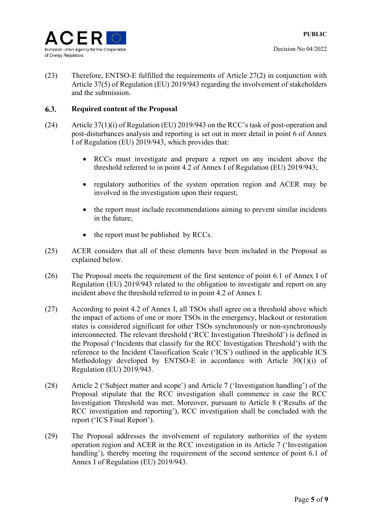

(23) Therefore, ENTSO-E fulfilled the requirements of Article 27(2) in conjunction with Article 37(5) of Regulation (EU) 2019/943 regarding the involvement of stakeholders and the submission.

#### 6.3. **Required content of the Proposal**

- (24) Article 37(1)(i) of Regulation (EU) 2019/943 on the RCC's task of post-operation and post-disturbances analysis and reporting is set out in more detail in point 6 of Annex I of Regulation (EU) 2019/943, which provides that:
	- RCCs must investigate and prepare a report on any incident above the threshold referred to in point 4.2 of Annex I of Regulation (EU) 2019/943;
	- regulatory authorities of the system operation region and ACER may be involved in the investigation upon their request;
	- the report must include recommendations aiming to prevent similar incidents in the future;
	- the report must be published by RCCs.
- (25) ACER considers that all of these elements have been included in the Proposal as explained below.
- (26) The Proposal meets the requirement of the first sentence of point 6.1 of Annex I of Regulation (EU) 2019/943 related to the obligation to investigate and report on any incident above the threshold referred to in point 4.2 of Annex I.
- (27) According to point 4.2 of Annex I, all TSOs shall agree on a threshold above which the impact of actions of one or more TSOs in the emergency, blackout or restoration states is considered significant for other TSOs synchronously or non-synchronously interconnected. The relevant threshold ('RCC Investigation Threshold') is defined in the Proposal ('Incidents that classify for the RCC Investigation Threshold') with the reference to the Incident Classification Scale ('ICS') outlined in the applicable ICS Methodology developed by ENTSO-E in accordance with Article 30(1)(i) of Regulation (EU) 2019/943.
- (28) Article 2 ('Subject matter and scope') and Article 7 ('Investigation handling') of the Proposal stipulate that the RCC investigation shall commence in case the RCC Investigation Threshold was met. Moreover, pursuant to Article 8 ('Results of the RCC investigation and reporting'), RCC investigation shall be concluded with the report ('ICS Final Report').
- (29) The Proposal addresses the involvement of regulatory authorities of the system operation region and ACER in the RCC investigation in its Article 7 ('Investigation handling'), thereby meeting the requirement of the second sentence of point 6.1 of Annex I of Regulation (EU) 2019/943.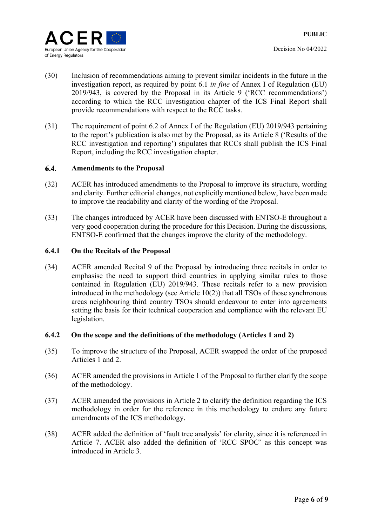

- (30) Inclusion of recommendations aiming to prevent similar incidents in the future in the investigation report, as required by point 6.1 *in fine* of Annex I of Regulation (EU) 2019/943, is covered by the Proposal in its Article 9 ('RCC recommendations') according to which the RCC investigation chapter of the ICS Final Report shall provide recommendations with respect to the RCC tasks.
- (31) The requirement of point 6.2 of Annex I of the Regulation (EU) 2019/943 pertaining to the report's publication is also met by the Proposal, as its Article 8 ('Results of the RCC investigation and reporting') stipulates that RCCs shall publish the ICS Final Report, including the RCC investigation chapter.

#### $6.4.$ **Amendments to the Proposal**

- (32) ACER has introduced amendments to the Proposal to improve its structure, wording and clarity. Further editorial changes, not explicitly mentioned below, have been made to improve the readability and clarity of the wording of the Proposal.
- (33) The changes introduced by ACER have been discussed with ENTSO-E throughout a very good cooperation during the procedure for this Decision. During the discussions, ENTSO-E confirmed that the changes improve the clarity of the methodology.

#### **6.4.1 On the Recitals of the Proposal**

(34) ACER amended Recital 9 of the Proposal by introducing three recitals in order to emphasise the need to support third countries in applying similar rules to those contained in Regulation (EU) 2019/943. These recitals refer to a new provision introduced in the methodology (see Article 10(2)) that all TSOs of those synchronous areas neighbouring third country TSOs should endeavour to enter into agreements setting the basis for their technical cooperation and compliance with the relevant EU legislation.

#### **6.4.2 On the scope and the definitions of the methodology (Articles 1 and 2)**

- (35) To improve the structure of the Proposal, ACER swapped the order of the proposed Articles 1 and 2.
- (36) ACER amended the provisions in Article 1 of the Proposal to further clarify the scope of the methodology.
- (37) ACER amended the provisions in Article 2 to clarify the definition regarding the ICS methodology in order for the reference in this methodology to endure any future amendments of the ICS methodology.
- (38) ACER added the definition of 'fault tree analysis' for clarity, since it is referenced in Article 7. ACER also added the definition of 'RCC SPOC' as this concept was introduced in Article 3.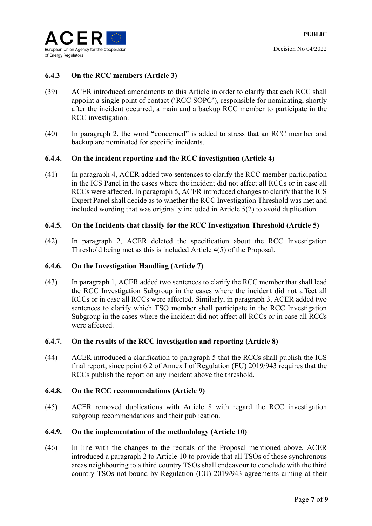

#### **6.4.3 On the RCC members (Article 3)**

- (39) ACER introduced amendments to this Article in order to clarify that each RCC shall appoint a single point of contact ('RCC SOPC'), responsible for nominating, shortly after the incident occurred, a main and a backup RCC member to participate in the RCC investigation.
- (40) In paragraph 2, the word "concerned" is added to stress that an RCC member and backup are nominated for specific incidents.

#### **6.4.4. On the incident reporting and the RCC investigation (Article 4)**

(41) In paragraph 4, ACER added two sentences to clarify the RCC member participation in the ICS Panel in the cases where the incident did not affect all RCCs or in case all RCCs were affected. In paragraph 5, ACER introduced changes to clarify that the ICS Expert Panel shall decide as to whether the RCC Investigation Threshold was met and included wording that was originally included in Article 5(2) to avoid duplication.

#### **6.4.5. On the Incidents that classify for the RCC Investigation Threshold (Article 5)**

(42) In paragraph 2, ACER deleted the specification about the RCC Investigation Threshold being met as this is included Article 4(5) of the Proposal.

#### **6.4.6. On the Investigation Handling (Article 7)**

(43) In paragraph 1, ACER added two sentences to clarify the RCC member that shall lead the RCC Investigation Subgroup in the cases where the incident did not affect all RCCs or in case all RCCs were affected. Similarly, in paragraph 3, ACER added two sentences to clarify which TSO member shall participate in the RCC Investigation Subgroup in the cases where the incident did not affect all RCCs or in case all RCCs were affected.

#### **6.4.7. On the results of the RCC investigation and reporting (Article 8)**

(44) ACER introduced a clarification to paragraph 5 that the RCCs shall publish the ICS final report, since point 6.2 of Annex I of Regulation (EU) 2019/943 requires that the RCCs publish the report on any incident above the threshold.

#### **6.4.8. On the RCC recommendations (Article 9)**

(45) ACER removed duplications with Article 8 with regard the RCC investigation subgroup recommendations and their publication.

#### **6.4.9. On the implementation of the methodology (Article 10)**

(46) In line with the changes to the recitals of the Proposal mentioned above, ACER introduced a paragraph 2 to Article 10 to provide that all TSOs of those synchronous areas neighbouring to a third country TSOs shall endeavour to conclude with the third country TSOs not bound by Regulation (EU) 2019/943 agreements aiming at their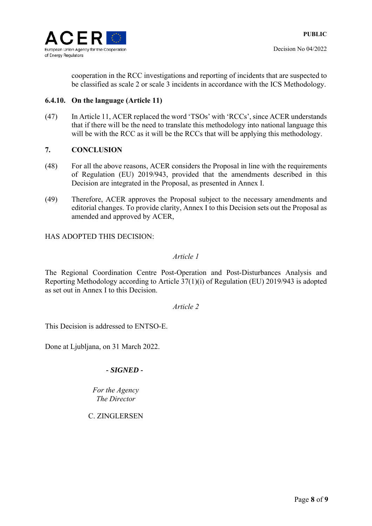

cooperation in the RCC investigations and reporting of incidents that are suspected to be classified as scale 2 or scale 3 incidents in accordance with the ICS Methodology.

#### **6.4.10. On the language (Article 11)**

(47) In Article 11, ACER replaced the word 'TSOs' with 'RCCs', since ACER understands that if there will be the need to translate this methodology into national language this will be with the RCC as it will be the RCCs that will be applying this methodology.

#### **7. CONCLUSION**

- (48) For all the above reasons, ACER considers the Proposal in line with the requirements of Regulation (EU) 2019/943, provided that the amendments described in this Decision are integrated in the Proposal, as presented in Annex I.
- (49) Therefore, ACER approves the Proposal subject to the necessary amendments and editorial changes. To provide clarity, Annex I to this Decision sets out the Proposal as amended and approved by ACER,

HAS ADOPTED THIS DECISION:

#### *Article 1*

The Regional Coordination Centre Post-Operation and Post-Disturbances Analysis and Reporting Methodology according to Article 37(1)(i) of Regulation (EU) 2019/943 is adopted as set out in Annex I to this Decision.

#### *Article 2*

This Decision is addressed to ENTSO-E.

Done at Ljubljana, on 31 March 2022.

### *- SIGNED -*

*Fоr the Agency The Director* 

C. ZINGLERSEN